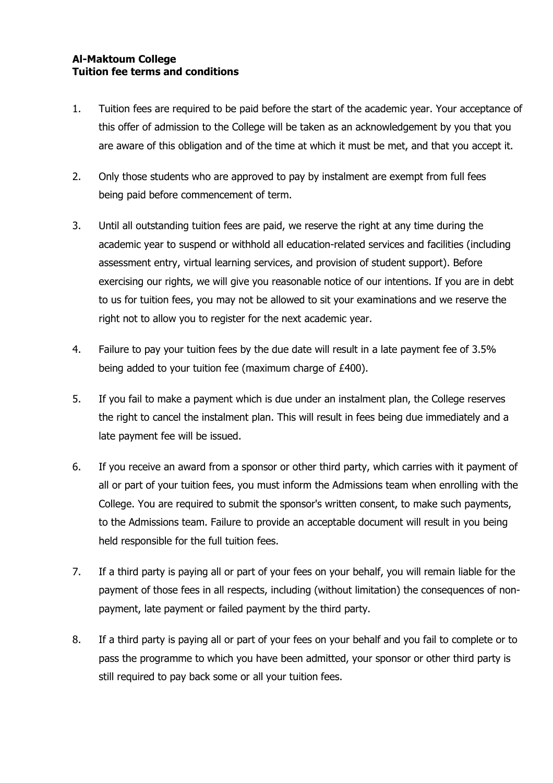## **Al-Maktoum College Tuition fee terms and conditions**

- 1. Tuition fees are required to be paid before the start of the academic year. Your acceptance of this offer of admission to the College will be taken as an acknowledgement by you that you are aware of this obligation and of the time at which it must be met, and that you accept it.
- 2. Only those students who are approved to pay by instalment are exempt from full fees being paid before commencement of term.
- 3. Until all outstanding tuition fees are paid, we reserve the right at any time during the academic year to suspend or withhold all education-related services and facilities (including assessment entry, virtual learning services, and provision of student support). Before exercising our rights, we will give you reasonable notice of our intentions. If you are in debt to us for tuition fees, you may not be allowed to sit your examinations and we reserve the right not to allow you to register for the next academic year.
- 4. Failure to pay your tuition fees by the due date will result in a late payment fee of 3.5% being added to your tuition fee (maximum charge of £400).
- 5. If you fail to make a payment which is due under an instalment plan, the College reserves the right to cancel the instalment plan. This will result in fees being due immediately and a late payment fee will be issued.
- 6. If you receive an award from a sponsor or other third party, which carries with it payment of all or part of your tuition fees, you must inform the Admissions team when enrolling with the College. You are required to submit the sponsor's written consent, to make such payments, to the Admissions team. Failure to provide an acceptable document will result in you being held responsible for the full tuition fees.
- 7. If a third party is paying all or part of your fees on your behalf, you will remain liable for the payment of those fees in all respects, including (without limitation) the consequences of nonpayment, late payment or failed payment by the third party.
- 8. If a third party is paying all or part of your fees on your behalf and you fail to complete or to pass the programme to which you have been admitted, your sponsor or other third party is still required to pay back some or all your tuition fees.